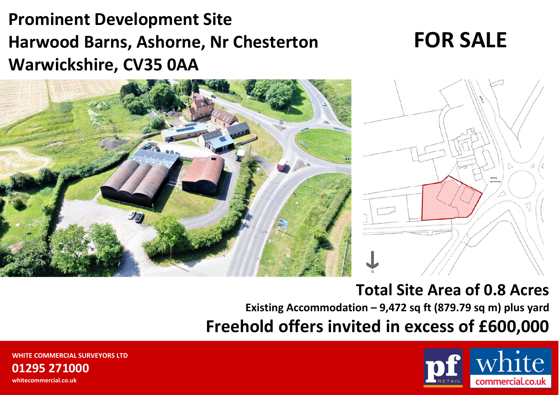# **Prominent Development Site Harwood Barns, Ashorne, Nr Chesterton Warwickshire, CV35 0AA**

# **FOR SALE**





# **Total Site Area of 0.8 Acres**

**Existing Accommodation – 9,472 sq ft (879.79 sq m) plus yard**

**Freehold offers invited in excess of £600,000**



**WHITE COMMERCIAL SURVEYORS LTD01295 271000whitecommercial.co.uk**